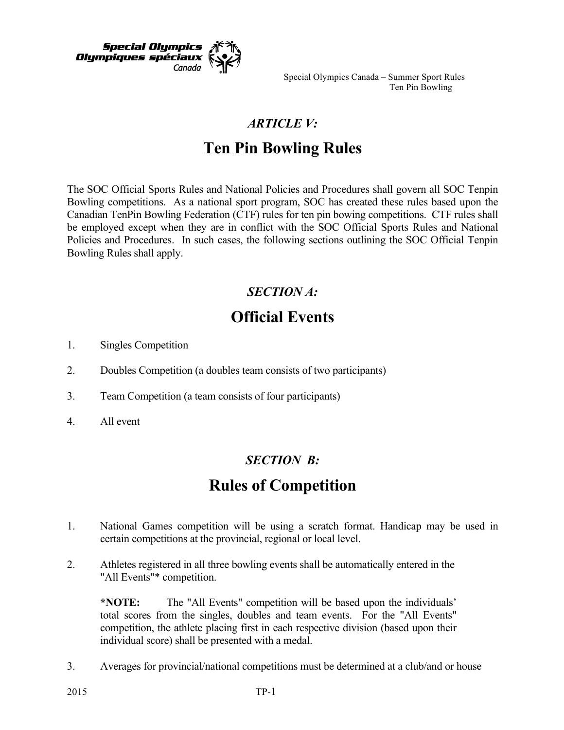

Special Olympics Canada – Summer Sport Rules Ten Pin Bowling

## *ARTICLE V:*

# **Ten Pin Bowling Rules**

The SOC Official Sports Rules and National Policies and Procedures shall govern all SOC Tenpin Bowling competitions. As a national sport program, SOC has created these rules based upon the Canadian TenPin Bowling Federation (CTF) rules for ten pin bowing competitions. CTF rules shall be employed except when they are in conflict with the SOC Official Sports Rules and National Policies and Procedures. In such cases, the following sections outlining the SOC Official Tenpin Bowling Rules shall apply.

### *SECTION A:*

# **Official Events**

- 1. Singles Competition
- 2. Doubles Competition (a doubles team consists of two participants)
- 3. Team Competition (a team consists of four participants)
- 4. All event

#### *SECTION B:*

## **Rules of Competition**

- 1. National Games competition will be using a scratch format. Handicap may be used in certain competitions at the provincial, regional or local level.
- 2. Athletes registered in all three bowling events shall be automatically entered in the "All Events"\* competition.

**\*NOTE:** The "All Events" competition will be based upon the individuals' total scores from the singles, doubles and team events. For the "All Events" competition, the athlete placing first in each respective division (based upon their individual score) shall be presented with a medal.

3. Averages for provincial/national competitions must be determined at a club/and or house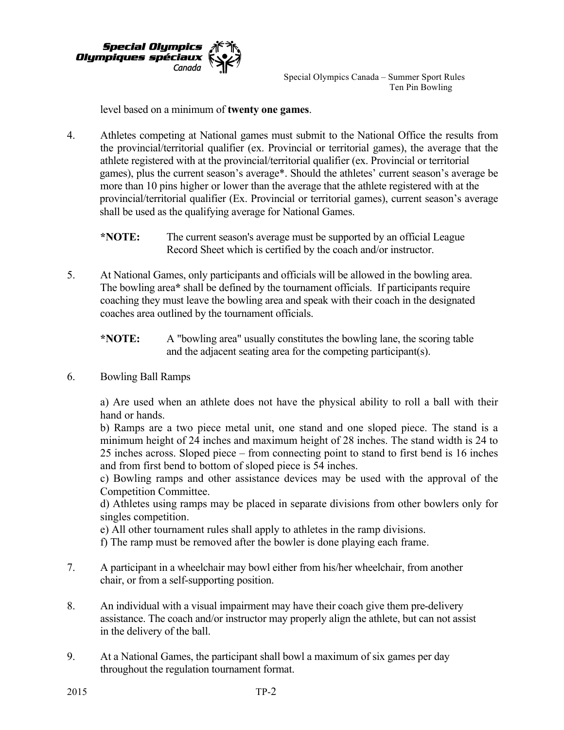

Special Olympics Canada – Summer Sport Rules Ten Pin Bowling

level based on a minimum of **twenty one games**.

4. Athletes competing at National games must submit to the National Office the results from the provincial/territorial qualifier (ex. Provincial or territorial games), the average that the athlete registered with at the provincial/territorial qualifier (ex. Provincial or territorial games), plus the current season's average\*. Should the athletes' current season's average be more than 10 pins higher or lower than the average that the athlete registered with at the provincial/territorial qualifier (Ex. Provincial or territorial games), current season's average shall be used as the qualifying average for National Games.

**\*NOTE:** The current season's average must be supported by an official League Record Sheet which is certified by the coach and/or instructor.

5. At National Games, only participants and officials will be allowed in the bowling area. The bowling area**\*** shall be defined by the tournament officials. If participants require coaching they must leave the bowling area and speak with their coach in the designated coaches area outlined by the tournament officials.

**\*NOTE:** A "bowling area" usually constitutes the bowling lane, the scoring table and the adjacent seating area for the competing participant(s).

6. Bowling Ball Ramps

a) Are used when an athlete does not have the physical ability to roll a ball with their hand or hands.

b) Ramps are a two piece metal unit, one stand and one sloped piece. The stand is a minimum height of 24 inches and maximum height of 28 inches. The stand width is 24 to 25 inches across. Sloped piece – from connecting point to stand to first bend is 16 inches and from first bend to bottom of sloped piece is 54 inches.

c) Bowling ramps and other assistance devices may be used with the approval of the Competition Committee.

d) Athletes using ramps may be placed in separate divisions from other bowlers only for singles competition.

e) All other tournament rules shall apply to athletes in the ramp divisions.

f) The ramp must be removed after the bowler is done playing each frame.

- 7. A participant in a wheelchair may bowl either from his/her wheelchair, from another chair, or from a self-supporting position.
- 8. An individual with a visual impairment may have their coach give them pre-delivery assistance. The coach and/or instructor may properly align the athlete, but can not assist in the delivery of the ball.
- 9. At a National Games, the participant shall bowl a maximum of six games per day throughout the regulation tournament format.